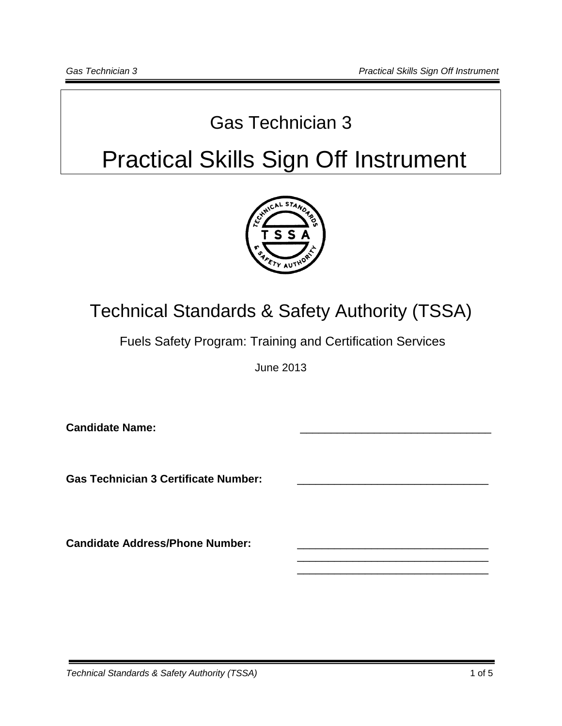### Gas Technician 3

# Practical Skills Sign Off Instrument



## Technical Standards & Safety Authority (TSSA)

Fuels Safety Program: Training and Certification Services

June 2013

\_\_\_\_\_\_\_\_\_\_\_\_\_\_\_\_\_\_\_\_\_\_\_\_\_\_\_\_\_\_\_ \_\_\_\_\_\_\_\_\_\_\_\_\_\_\_\_\_\_\_\_\_\_\_\_\_\_\_\_\_\_\_

**Candidate Name:** 

Gas Technician 3 Certificate Number:

**Candidate Address/Phone Number:**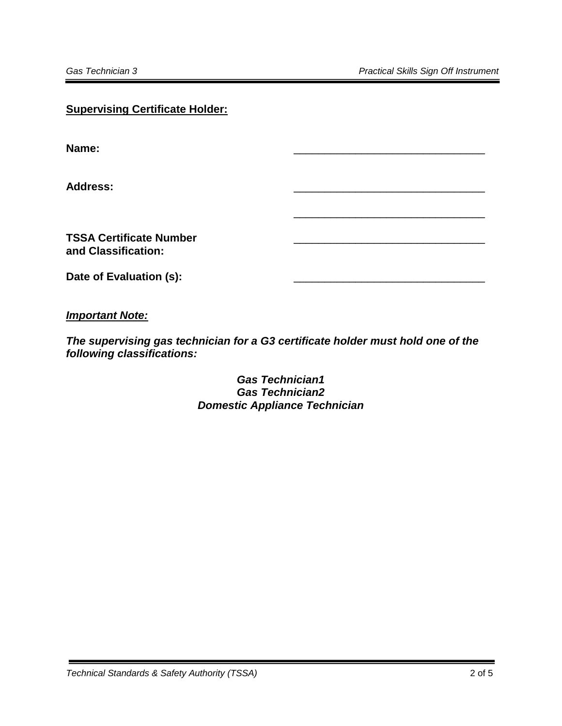| <b>Supervising Certificate Holder:</b>                |  |  |
|-------------------------------------------------------|--|--|
| Name:                                                 |  |  |
| <b>Address:</b>                                       |  |  |
| <b>TSSA Certificate Number</b><br>and Classification: |  |  |
| Date of Evaluation (s):                               |  |  |

*Important Note:*

*The supervising gas technician for a G3 certificate holder must hold one of the following classifications:*

> *Gas Technician1 Gas Technician2 Domestic Appliance Technician*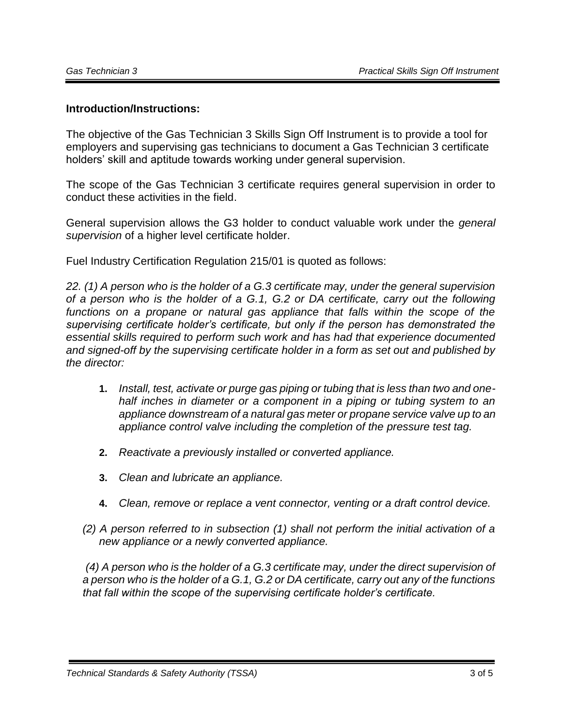### **Introduction/Instructions:**

The objective of the Gas Technician 3 Skills Sign Off Instrument is to provide a tool for employers and supervising gas technicians to document a Gas Technician 3 certificate holders' skill and aptitude towards working under general supervision.

The scope of the Gas Technician 3 certificate requires general supervision in order to conduct these activities in the field.

General supervision allows the G3 holder to conduct valuable work under the *general supervision* of a higher level certificate holder.

Fuel Industry Certification Regulation 215/01 is quoted as follows:

*22. (1) A person who is the holder of a G.3 certificate may, under the general supervision of a person who is the holder of a G.1, G.2 or DA certificate, carry out the following*  functions on a propane or natural gas appliance that falls within the scope of the *supervising certificate holder's certificate, but only if the person has demonstrated the essential skills required to perform such work and has had that experience documented and signed-off by the supervising certificate holder in a form as set out and published by the director:* 

- **1.** *Install, test, activate or purge gas piping or tubing that is less than two and onehalf inches in diameter or a component in a piping or tubing system to an appliance downstream of a natural gas meter or propane service valve up to an appliance control valve including the completion of the pressure test tag.*
- **2.** *Reactivate a previously installed or converted appliance.*
- **3.** *Clean and lubricate an appliance.*
- **4.** *Clean, remove or replace a vent connector, venting or a draft control device.*
- *(2) A person referred to in subsection (1) shall not perform the initial activation of a new appliance or a newly converted appliance.*

*(4) A person who is the holder of a G.3 certificate may, under the direct supervision of a person who is the holder of a G.1, G.2 or DA certificate, carry out any of the functions that fall within the scope of the supervising certificate holder's certificate.*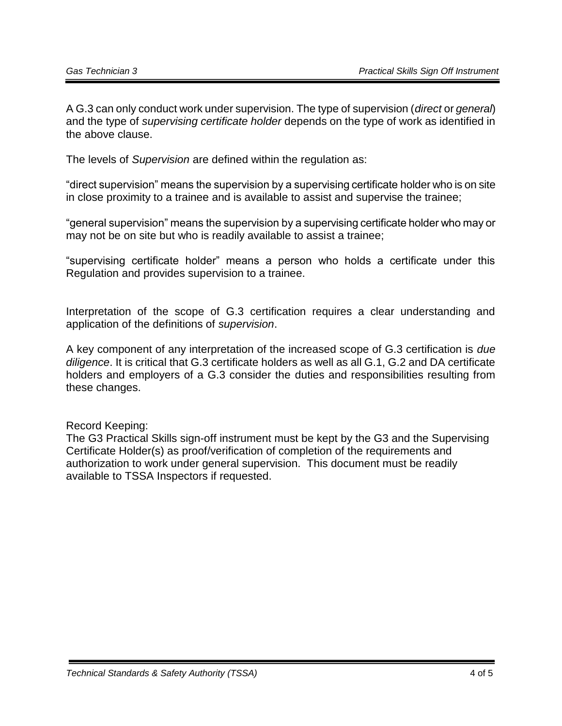A G.3 can only conduct work under supervision. The type of supervision (*direct* or *general*) and the type of *supervising certificate holder* depends on the type of work as identified in the above clause.

The levels of *Supervision* are defined within the regulation as:

"direct supervision" means the supervision by a supervising certificate holder who is on site in close proximity to a trainee and is available to assist and supervise the trainee;

"general supervision" means the supervision by a supervising certificate holder who may or may not be on site but who is readily available to assist a trainee;

"supervising certificate holder" means a person who holds a certificate under this Regulation and provides supervision to a trainee.

Interpretation of the scope of G.3 certification requires a clear understanding and application of the definitions of *supervision*.

A key component of any interpretation of the increased scope of G.3 certification is *due diligence*. It is critical that G.3 certificate holders as well as all G.1, G.2 and DA certificate holders and employers of a G.3 consider the duties and responsibilities resulting from these changes.

#### Record Keeping:

The G3 Practical Skills sign-off instrument must be kept by the G3 and the Supervising Certificate Holder(s) as proof/verification of completion of the requirements and authorization to work under general supervision. This document must be readily available to TSSA Inspectors if requested.